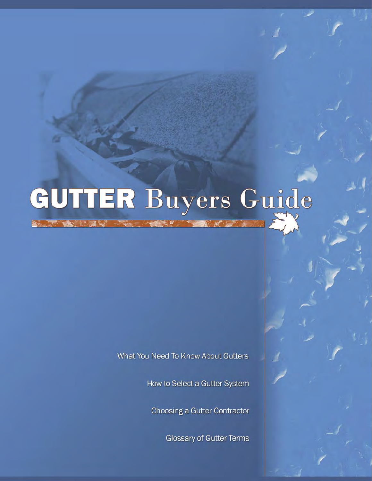# GUTTER Buyers Guide

What You Need To Know About Gutters

How to Select a Gutter System

Choosing a Gutter Contractor

**Glossary of Gutter Terms**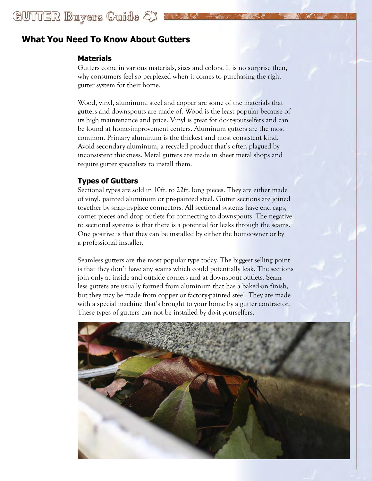# GUITIER Buyers Guide &

# **What You Need To Know About Gutters**

## **Materials**

Gutters come in various materials, sizes and colors. It is no surprise then, why consumers feel so perplexed when it comes to purchasing the right gutter system for their home.

Wood, vinyl, aluminum, steel and copper are some of the materials that gutters and downspouts are made of. Wood is the least popular because of its high maintenance and price. Vinyl is great for do-it-yourselfers and can be found at home-improvement centers. Aluminum gutters are the most common. Primary aluminum is the thickest and most consistent kind. Avoid secondary aluminum, a recycled product that's often plagued by inconsistent thickness. Metal gutters are made in sheet metal shops and require gutter specialists to install them.

## **Types of Gutters**

Sectional types are sold in 10ft. to 22ft. long pieces. They are either made of vinyl, painted aluminum or pre-painted steel. Gutter sections are joined together by snap-in-place connectors. All sectional systems have end caps, corner pieces and drop outlets for connecting to downspouts. The negative to sectional systems is that there is a potential for leaks through the seams. One positive is that they can be installed by either the homeowner or by a professional installer.

Seamless gutters are the most popular type today. The biggest selling point is that they don't have any seams which could potentially leak. The sections join only at inside and outside corners and at downspout outlets. Seamless gutters are usually formed from aluminum that has a baked-on finish, but they may be made from copper or factory-painted steel. They are made with a special machine that's brought to your home by a gutter contractor. These types of gutters can not be installed by do-it-yourselfers.

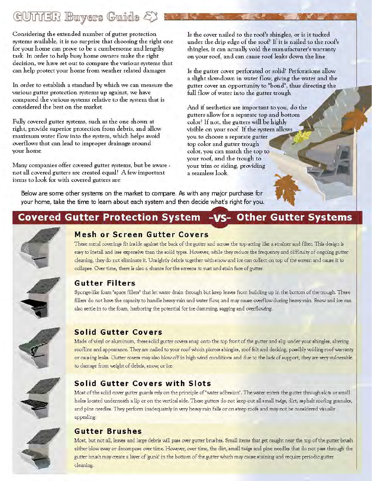# GUITER Buyers Guide EX

Considering the extended number of gutter protection systems available, it is no surprise that choosing the right one for your home can prove to be a cumbersome and lengthy task. In order to help busy home owners make the right decision, we have set out to compare the various systems that can help protect your home from weather related damages.

In order to establish a standard by which we can measure the various gutter protection systems up against, we have compared the various systems relative to the system that is considered the best on the market.

Fully covered gutter systems, such as the one shown at right, provide superior protection from debris, and allow maximum water flow into the system, which helps avoid overflows that can lead to improper drainage around your home.

Many companies offer covered gutter systems, but be aware not all covered gutters are created equal! A few important items to look for with covered gutters are

Is the cover nailed to the roof's shingles, or is it tucked under the drip edge of the roof? If it is nailed to the roof's shingles, it can actually void the manufacturer's warranty on your roof, and can cause roof leaks down the line.

Is the gutter cover perforated or solid? Perforations allow a slight slow-down in water flow, giving the water and the gutter cover an opportunity to "bond", thus directing the full flow of water into the gutter trough.

And if aesthetics are important to you, do the gutters allow for a separate top and bottom color? If not, the gutters will be highly visible on your roof. If the system allows you to choose a separate gutter top color and gutter trough color, you can match the top to your roof, and the trough to your trim or siding, providing a seamless look

Below are some other systems on the market to compare. As with any major purchase for your home, take the time to learn about each system and then decide what's right for you.

# Covered Gutter Protection System -VS- Other Gutter Systems



# **Mesh or Screen Gutter Covers**

These metal coverings fit inside against the back of the gutter and across the top acting like a strainer and filter. This design is easy to install and less expensive than the solid types. However, while they reduce the frequency and difficulty of ongoing gutter cleaning, they do not eliminate it. Unsightly debris together with snow and ice can collect on top of the sereen and cause it to collapse. Over time, there is also a chance for the screens to rust and stain face of gutter.



# **Gutter Filters**

Sponge-like foam "space fillers" that let water drain through but keep leaves from building up in the bottom of the trough. These fillers do not have the capacity to handle heavy rain and water flow, and may cause overflow during heavy rain. Snow and ice can also settle in to the foam, harboring the potential for ice damming, sagging and overflowing.



# **Solid Gutter Covers**

Made of vinyl or aluminum, these solid gutter covers snap onto the top front of the gutter and slip under your shingles, altering roofline and appearance. They are nailed to your roof which pierces shingles, roof felt and decking, possibly voiding roof warranty or causing leaks. Gutter covers may also blow off in high wind conditions and due to the lack of support, they are very vulnerable to damage from weight of debris, snow, or ice.



# Solid Gutter Covers with Slots

Most of the solid cover gutter guards rely on the principle of "water adhesion". The water enters the gutter through slots or small holes located underneath a lip or on the vertical side. These gutters do not keep out all small twigs, dirt, asphalt roofing granules, and pine needles. They perform inadequately in very heavy rain falls or on steep roofs and may not be considered visually appealing.



# **Gutter Brushes**

Most, but not all, leaves and large debris will pass over gutter brushes. Small items that get caught near the top of the gutter brush either blow away or decompose over time. However, over time, the dirt, small twigs and pine needles that do not pass through the gutter brush may create a layer of 'gunk' in the bottom of the gutter which may cause staining and require periodic gutter cleaning.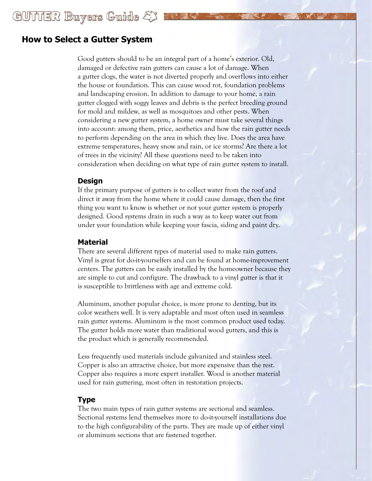# **How to Select a Gutter System**

Good gutters should to be an integral part of a home's exterior. Old, damaged or defective rain gutters can cause a lot of damage. When a gutter clogs, the water is not diverted properly and overflows into either the house or foundation. This can cause wood rot, foundation problems and landscaping erosion. In addition to damage to your home, a rain gutter clogged with soggy leaves and debris is the perfect breeding ground for mold and mildew, as well as mosquitoes and other pests. When considering a new gutter system, a home owner must take several things into account: among them, price, aesthetics and how the rain gutter needs to perform depending on the area in which they live. Does the area have extreme temperatures, heavy snow and rain, or ice storms? Are there a lot of trees in the vicinity? All these questions need to be taken into consideration when deciding on what type of rain gutter system to install.

#### **Design**

If the primary purpose of gutters is to collect water from the roof and direct it away from the home where it could cause damage, then the first thing you want to know is whether or not your gutter system is properly designed. Good systems drain in such a way as to keep water out from under your foundation while keeping your fascia, siding and paint dry.

#### **Material**

There are several different types of material used to make rain gutters. Vinyl is great for do-it-yourselfers and can be found at home-improvement centers. The gutters can be easily installed by the homeowner because they are simple to cut and configure. The drawback to a vinyl gutter is that it is susceptible to brittleness with age and extreme cold.

Aluminum, another popular choice, is more prone to denting, but its color weathers well. It is very adaptable and most often used in seamless rain gutter systems. Aluminum is the most common product used today. The gutter holds more water than traditional wood gutters, and this is the product which is generally recommended.

Less frequently used materials include galvanized and stainless steel. Copper is also an attractive choice, but more expensive than the rest. Copper also requires a more expert installer. Wood is another material used for rain guttering, most often in restoration projects.

## **Type**

The two main types of rain gutter systems are sectional and seamless. Sectional systems lend themselves more to do-it-yourself installations due to the high configurability of the parts. They are made up of either vinyl or aluminum sections that are fastened together.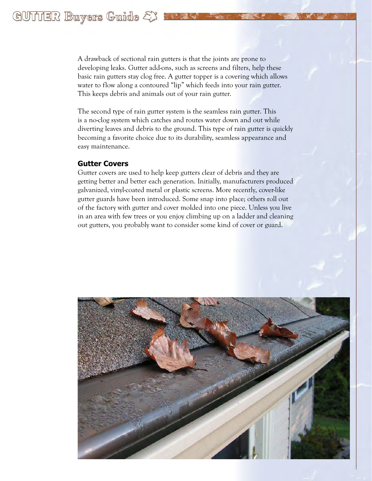A drawback of sectional rain gutters is that the joints are prone to developing leaks. Gutter add-ons, such as screens and filters, help these basic rain gutters stay clog free. A gutter topper is a covering which allows water to flow along a contoured "lip" which feeds into your rain gutter. This keeps debris and animals out of your rain gutter.

The second type of rain gutter system is the seamless rain gutter. This is a no-clog system which catches and routes water down and out while diverting leaves and debris to the ground. This type of rain gutter is quickly becoming a favorite choice due to its durability, seamless appearance and easy maintenance.

#### **Gutter Covers**

Gutter covers are used to help keep gutters clear of debris and they are getting better and better each generation. Initially, manufacturers produced galvanized, vinyl-coated metal or plastic screens. More recently, cover-like gutter guards have been introduced. Some snap into place; others roll out of the factory with gutter and cover molded into one piece. Unless you live in an area with few trees or you enjoy climbing up on a ladder and cleaning out gutters, you probably want to consider some kind of cover or guard.

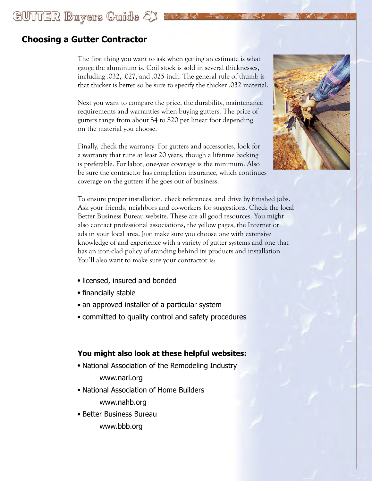# **Choosing a Gutter Contractor**

GUITIER Buyers Guide & Sale

The first thing you want to ask when getting an estimate is what gauge the aluminum is. Coil stock is sold in several thicknesses, including .032, .027, and .025 inch. The general rule of thumb is that thicker is better so be sure to specify the thicker .032 material.

Next you want to compare the price, the durability, maintenance requirements and warranties when buying gutters. The price of gutters range from about \$4 to \$20 per linear foot depending on the material you choose.

Finally, check the warranty. For gutters and accessories, look for a warranty that runs at least 20 years, though a lifetime backing is preferable. For labor, one-year coverage is the minimum. Also be sure the contractor has completion insurance, which continues coverage on the gutters if he goes out of business.



To ensure proper installation, check references, and drive by finished jobs. Ask your friends, neighbors and co-workers for suggestions. Check the local Better Business Bureau website. These are all good resources. You might also contact professional associations, the yellow pages, the Internet or ads in your local area. Just make sure you choose one with extensive knowledge of and experience with a variety of gutter systems and one that has an iron-clad policy of standing behind its products and installation. You'll also want to make sure your contractor is:

- licensed, insured and bonded
- financially stable
- an approved installer of a particular system
- committed to quality control and safety procedures

## **You might also look at these helpful websites:**

- National Association of the Remodeling Industry www.nari.org
- National Association of Home Builders www.nahb.org
- Better Business Bureau www.bbb.org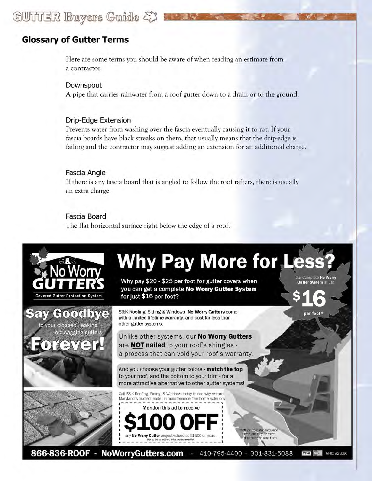# GUITIER Buryers Guide & S

# **Glossary of Gutter Terms**

Here are some terms you should be aware of when reading an estimate from a contractor.

Downspout A pipe that carries rainwater from a roof gutter down to a drain or to the ground.

#### Drip-Edge Extension

Prevents water from washing over the fascia eventually causing it to rot. If your fascia boards have black streaks on them, that usually means that the drip-edge is failing and the contractor may suggest adding an extension for an additional charge.

#### Fascia Angle

If there is any fascia board that is angled to follow the roof rafters, there is usually an extra charge.

## Fascia Board

The flat horizontal surface right below the edge of a roof.

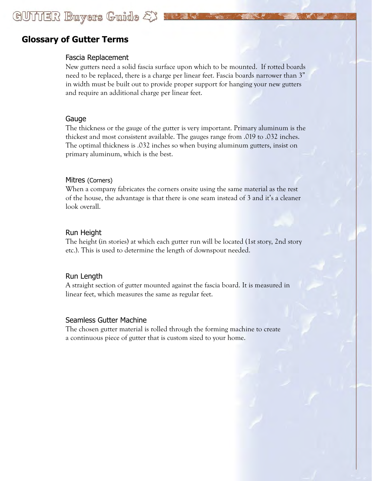# GUITIER Buyers Guide & XXXXX

# **Glossary of Gutter Terms**

## Fascia Replacement

New gutters need a solid fascia surface upon which to be mounted. If rotted boards need to be replaced, there is a charge per linear feet. Fascia boards narrower than 3" in width must be built out to provide proper support for hanging your new gutters and require an additional charge per linear feet.

## Gauge

The thickness or the gauge of the gutter is very important. Primary aluminum is the thickest and most consistent available. The gauges range from .019 to .032 inches. The optimal thickness is .032 inches so when buying aluminum gutters, insist on primary aluminum, which is the best.

## Mitres (Corners)

When a company fabricates the corners onsite using the same material as the rest of the house, the advantage is that there is one seam instead of 3 and it's a cleaner look overall.

## Run Height

The height (in stories) at which each gutter run will be located (1st story, 2nd story etc.). This is used to determine the length of downspout needed.

## Run Length

A straight section of gutter mounted against the fascia board. It is measured in linear feet, which measures the same as regular feet.

#### Seamless Gutter Machine

The chosen gutter material is rolled through the forming machine to create a continuous piece of gutter that is custom sized to your home.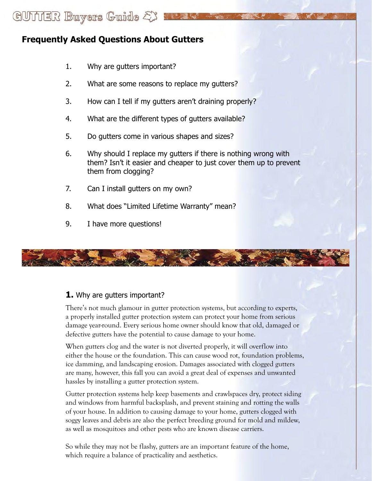# **Frequently Asked Questions About Gutters**

GUITIER Buryers Guide &

- 1. Why are gutters important?
- 2. What are some reasons to replace my gutters?
- 3. How can I tell if my gutters aren't draining properly?
- 4. What are the different types of gutters available?
- 5. Do gutters come in various shapes and sizes?
- 6. Why should I replace my gutters if there is nothing wrong with them? Isn't it easier and cheaper to just cover them up to prevent them from clogging?
- 7. Can I install gutters on my own?
- 8. What does "Limited Lifetime Warranty" mean?
- 9. I have more questions!



# **1.** Why are gutters important?

There's not much glamour in gutter protection systems, but according to experts, a properly installed gutter protection system can protect your home from serious damage year-round. Every serious home owner should know that old, damaged or defective gutters have the potential to cause damage to your home.

When gutters clog and the water is not diverted properly, it will overflow into either the house or the foundation. This can cause wood rot, foundation problems, ice damming, and landscaping erosion. Damages associated with clogged gutters are many, however, this fall you can avoid a great deal of expenses and unwanted hassles by installing a gutter protection system.

Gutter protection systems help keep basements and crawlspaces dry, protect siding and windows from harmful backsplash, and prevent staining and rotting the walls of your house. In addition to causing damage to your home, gutters clogged with soggy leaves and debris are also the perfect breeding ground for mold and mildew, as well as mosquitoes and other pests who are known disease carriers.

So while they may not be flashy, gutters are an important feature of the home, which require a balance of practicality and aesthetics.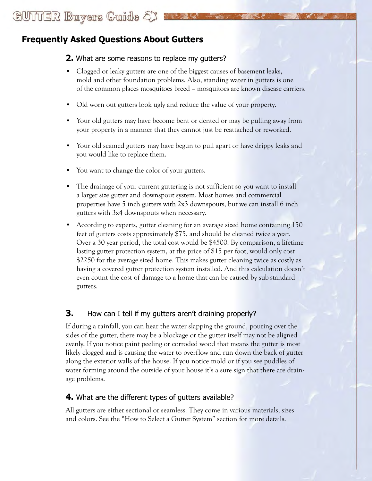# GUITIER Buryers Guide &

# **Frequently Asked Questions About Gutters**

## **2.** What are some reasons to replace my gutters?

- Clogged or leaky gutters are one of the biggest causes of basement leaks, mold and other foundation problems. Also, standing water in gutters is one of the common places mosquitoes breed – mosquitoes are known disease carriers.
- Old worn out gutters look ugly and reduce the value of your property.
- Your old gutters may have become bent or dented or may be pulling away from your property in a manner that they cannot just be reattached or reworked.
- Your old seamed gutters may have begun to pull apart or have drippy leaks and you would like to replace them.
- You want to change the color of your gutters.
- The drainage of your current guttering is not sufficient so you want to install a larger size gutter and downspout system. Most homes and commercial properties have 5 inch gutters with 2x3 downspouts, but we can install 6 inch gutters with 3x4 downspouts when necessary.
- According to experts, gutter cleaning for an average sized home containing 150 feet of gutters costs approximately \$75, and should be cleaned twice a year. Over a 30 year period, the total cost would be \$4500. By comparison, a lifetime lasting gutter protection system, at the price of \$15 per foot, would only cost \$2250 for the average sized home. This makes gutter cleaning twice as costly as having a covered gutter protection system installed. And this calculation doesn't even count the cost of damage to a home that can be caused by sub-standard gutters.

# **3.** How can I tell if my gutters aren't draining properly?

If during a rainfall, you can hear the water slapping the ground, pouring over the sides of the gutter, there may be a blockage or the gutter itself may not be aligned evenly. If you notice paint peeling or corroded wood that means the gutter is most likely clogged and is causing the water to overflow and run down the back of gutter along the exterior walls of the house. If you notice mold or if you see puddles of water forming around the outside of your house it's a sure sign that there are drainage problems.

# **4.** What are the different types of gutters available?

All gutters are either sectional or seamless. They come in various materials, sizes and colors. See the "How to Select a Gutter System" section for more details.